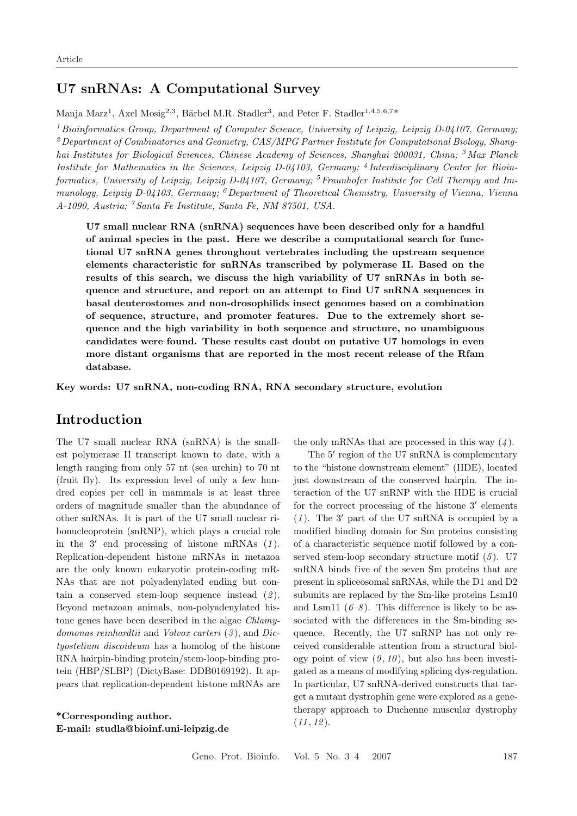## **U7 snRNAs: A Computational Survey**

Manja Marz<sup>1</sup>, Axel Mosig<sup>2,3</sup>, Bärbel M.R. Stadler<sup>3</sup>, and Peter F. Stadler<sup>1,4,5,6,7\*</sup>

<sup>1</sup> *Bioinformatics Group, Department of Computer Science, University of Leipzig, Leipzig D-04107, Germany;* <sup>2</sup>*Department of Combinatorics and Geometry, CAS/MPG Partner Institute for Computational Biology, Shanghai Institutes for Biological Sciences, Chinese Academy of Sciences, Shanghai 200031, China;* <sup>3</sup>*Max Planck Institute for Mathematics in the Sciences, Leipzig D-04103, Germany;* <sup>4</sup> *Interdisciplinary Center for Bioinformatics, University of Leipzig, Leipzig D-04107, Germany;* <sup>5</sup>*Fraunhofer Institute for Cell Therapy and Immunology, Leipzig D-04103, Germany;* <sup>6</sup>*Department of Theoretical Chemistry, University of Vienna, Vienna A-1090, Austria;* <sup>7</sup> *Santa Fe Institute, Santa Fe, NM 87501, USA.*

**U7 small nuclear RNA (snRNA) sequences have been described only for a handful of animal species in the past. Here we describe a computational search for functional U7 snRNA genes throughout vertebrates including the upstream sequence elements characteristic for snRNAs transcribed by polymerase II. Based on the results of this search, we discuss the high variability of U7 snRNAs in both se**quence and structure, and report on an attempt to find U7 snRNA sequences in **basal deuterostomes and non-drosophilids insect genomes based on a combination of sequence, structure, and promoter features. Due to the extremely short sequence and the high variability in both sequence and structure, no unambiguous candidates were found. These results cast doubt on putative U7 homologs in even more distant organisms that are reported in the most recent release of the Rfam database.**

**Key words: U7 snRNA, non-coding RNA, RNA secondary structure, evolution**

## **Introduction**

The U7 small nuclear RNA (snRNA) is the smallest polymerase II transcript known to date, with a length ranging from only 57 nt (sea urchin) to 70 nt (fruit fly). Its expression level of only a few hundred copies per cell in mammals is at least three orders of magnitude smaller than the abundance of other snRNAs. It is part of the U7 small nuclear ribonucleoprotein (snRNP), which plays a crucial role in the  $3'$  end processing of histone mRNAs  $(1)$ . Replication-dependent histone mRNAs in metazoa are the only known eukaryotic protein-coding mR-NAs that are not polyadenylated ending but contain a conserved stem-loop sequence instead (*2* ). Beyond metazoan animals, non-polyadenylated histone genes have been described in the algae *Chlamydomonas reinhardtii* and *Volvox carteri* (*3* ), and *Dictyostelium discoideum* has a homolog of the histone RNA hairpin-binding protein/stem-loop-binding protein (HBP/SLBP) (DictyBase: DDB0169192). It appears that replication-dependent histone mRNAs are

**\*Corresponding author. E-mail: studla@bioinf.uni-leipzig.de** the only mRNAs that are processed in this way (*4* ).

The  $5'$  region of the U7 snRNA is complementary to the "histone downstream element" (HDE), located just downstream of the conserved hairpin. The interaction of the U7 snRNP with the HDE is crucial for the correct processing of the histone  $3'$  elements  $(1)$ . The 3' part of the U7 snRNA is occupied by a modified binding domain for Sm proteins consisting of a characteristic sequence motif followed by a conserved stem-loop secondary structure motif (*5* ). U7 snRNA binds five of the seven Sm proteins that are present in spliceosomal snRNAs, while the D1 and D2 subunits are replaced by the Sm-like proteins Lsm10 and Lsm11  $(6-8)$ . This difference is likely to be associated with the differences in the Sm-binding sequence. Recently, the U7 snRNP has not only received considerable attention from a structural biology point of view  $(9, 10)$ , but also has been investigated as a means of modifying splicing dys-regulation. In particular, U7 snRNA-derived constructs that target a mutant dystrophin gene were explored as a genetherapy approach to Duchenne muscular dystrophy  $(11, 12)$ .

Geno. Prot. Bioinfo. Vol. 5 No. 3–4 2007 187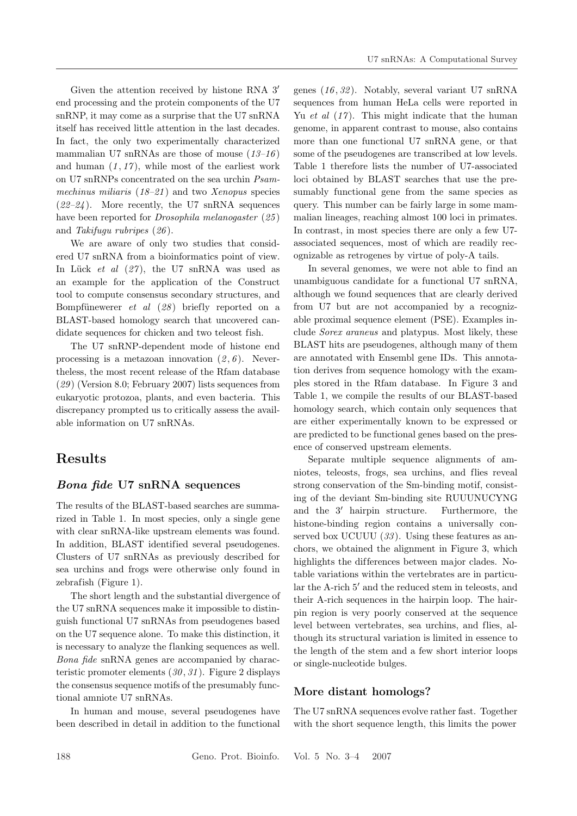Given the attention received by histone RNA 3 end processing and the protein components of the U7 snRNP, it may come as a surprise that the U7 snRNA itself has received little attention in the last decades. In fact, the only two experimentally characterized mammalian U7 snRNAs are those of mouse (*13–16* ) and human  $(1, 17)$ , while most of the earliest work on U7 snRNPs concentrated on the sea urchin *Psammechinus miliaris* (*18–21* ) and two *Xenopus* species (*22–24* ). More recently, the U7 snRNA sequences have been reported for *Drosophila melanogaster* (*25* ) and *Takifugu rubripes* (*26* ).

We are aware of only two studies that considered U7 snRNA from a bioinformatics point of view. In Lück *et al* (27), the U7 snRNA was used as an example for the application of the Construct tool to compute consensus secondary structures, and Bompfünewerer *et al (28)* briefly reported on a BLAST-based homology search that uncovered candidate sequences for chicken and two teleost fish.

The U7 snRNP-dependent mode of histone end processing is a metazoan innovation  $(2, 6)$ . Nevertheless, the most recent release of the Rfam database (*29* ) (Version 8.0; February 2007) lists sequences from eukaryotic protozoa, plants, and even bacteria. This discrepancy prompted us to critically assess the available information on U7 snRNAs.

# **Results**

### *Bona fide* **U7 snRNA sequences**

The results of the BLAST-based searches are summarized in Table 1. In most species, only a single gene with clear snRNA-like upstream elements was found. In addition, BLAST identified several pseudogenes. Clusters of U7 snRNAs as previously described for sea urchins and frogs were otherwise only found in zebrafish (Figure 1).

The short length and the substantial divergence of the U7 snRNA sequences make it impossible to distinguish functional U7 snRNAs from pseudogenes based on the U7 sequence alone. To make this distinction, it is necessary to analyze the flanking sequences as well. *Bona fide* snRNA genes are accompanied by characteristic promoter elements (*30* , *31* ). Figure 2 displays the consensus sequence motifs of the presumably functional amniote U7 snRNAs.

In human and mouse, several pseudogenes have been described in detail in addition to the functional genes (*16* , *32* ). Notably, several variant U7 snRNA sequences from human HeLa cells were reported in Yu *et al* (*17* ). This might indicate that the human genome, in apparent contrast to mouse, also contains more than one functional U7 snRNA gene, or that some of the pseudogenes are transcribed at low levels. Table 1 therefore lists the number of U7-associated loci obtained by BLAST searches that use the presumably functional gene from the same species as query. This number can be fairly large in some mammalian lineages, reaching almost 100 loci in primates. In contrast, in most species there are only a few U7 associated sequences, most of which are readily recognizable as retrogenes by virtue of poly-A tails.

In several genomes, we were not able to find an unambiguous candidate for a functional U7 snRNA, although we found sequences that are clearly derived from U7 but are not accompanied by a recognizable proximal sequence element (PSE). Examples include *Sorex araneus* and platypus. Most likely, these BLAST hits are pseudogenes, although many of them are annotated with Ensembl gene IDs. This annotation derives from sequence homology with the examples stored in the Rfam database. In Figure 3 and Table 1, we compile the results of our BLAST-based homology search, which contain only sequences that are either experimentally known to be expressed or are predicted to be functional genes based on the presence of conserved upstream elements.

Separate multiple sequence alignments of amniotes, teleosts, frogs, sea urchins, and flies reveal strong conservation of the Sm-binding motif, consisting of the deviant Sm-binding site RUUUNUCYNG and the  $3'$  hairpin structure. Furthermore, the histone-binding region contains a universally conserved box UCUUU (*33* ). Using these features as anchors, we obtained the alignment in Figure 3, which highlights the differences between major clades. Notable variations within the vertebrates are in particular the A-rich 5' and the reduced stem in teleosts, and their A-rich sequences in the hairpin loop. The hairpin region is very poorly conserved at the sequence level between vertebrates, sea urchins, and flies, although its structural variation is limited in essence to the length of the stem and a few short interior loops or single-nucleotide bulges.

## **More distant homologs?**

The U7 snRNA sequences evolve rather fast. Together with the short sequence length, this limits the power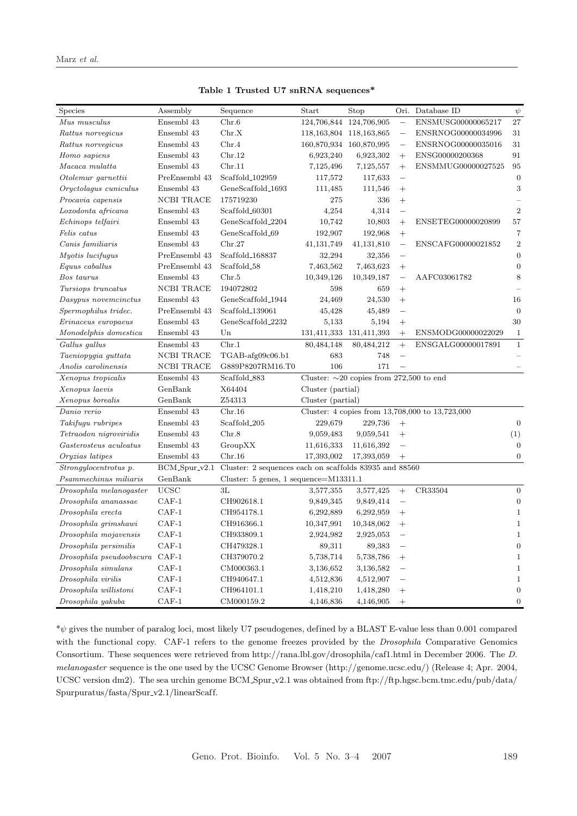| Species                            | Assembly          | Sequence                                                             | Start                                         | Stop                        | Ori.                     | Database ID                                     | $\psi$           |  |
|------------------------------------|-------------------|----------------------------------------------------------------------|-----------------------------------------------|-----------------------------|--------------------------|-------------------------------------------------|------------------|--|
| $\label{thm:mass} Mus \; musculus$ | Ensembl 43        | Chr.6                                                                | 124,706,844 124,706,905                       | $\qquad \qquad -$           |                          | ENSMUSG00000065217                              | 27               |  |
| Rattus norvegicus                  | Ensembl 43        | Chr.X                                                                |                                               | 118, 163, 804 118, 163, 865 | $\overline{\phantom{0}}$ | ENSRNOG00000034996                              | 31               |  |
| Rattus norvegicus                  | Ensembl 43        | Chr.4                                                                |                                               | 160,870,934 160,870,995     | $\overline{\phantom{0}}$ | ENSRNOG00000035016                              | 31               |  |
| Homo sapiens                       | Ensembl 43        | Chr.12                                                               | 6,923,240                                     | 6,923,302                   | $+$                      | ENSG00000200368                                 | 91               |  |
| Macaca mulatta                     | Ensembl 43        | Chr.11                                                               | 7,125,496                                     | 7,125,557                   | $+$                      | ENSMMUG00000027525                              | 95               |  |
| Otolemur garnettii                 | PreEnsembl 43     | Scaffold <sub>-102959</sub>                                          | 117,572                                       | 117,633                     | $\equiv$                 |                                                 | $\overline{0}$   |  |
| Oryctolagus cuniculus              | Ensembl 43        | GeneScaffold_1693                                                    | 111,485                                       | 111,546                     | $+$                      |                                                 | $\,3$            |  |
| Procavia capensis                  | <b>NCBI TRACE</b> | 175719230                                                            | 275                                           | 336                         | $^{+}$                   |                                                 |                  |  |
| Loxodonta africana                 | Ensembl 43        | Scaffold_60301                                                       | 4,254                                         | 4,314                       | $\equiv$                 |                                                 | $\overline{2}$   |  |
| Echinops telfairi                  | Ensembl 43        | GeneScaffold_2204                                                    | 10,742                                        | 10,803                      | $+$                      | ENSETEG00000020899                              | 57               |  |
| Felis catus                        | Ensembl 43        | GeneScaffold_69                                                      | 192,907                                       | 192,968                     | $+$                      |                                                 | $\overline{7}$   |  |
| Canis familiaris                   | Ensembl 43        | Chr.27                                                               | 41, 131, 749                                  | 41,131,810                  | $\overline{\phantom{0}}$ | ENSCAFG00000021852                              | $\sqrt{2}$       |  |
| Myotis lucifugus                   | PreEnsembl 43     | Scaffold <sub>-168837</sub>                                          | 32,294                                        | 32,356                      | $\overline{\phantom{0}}$ |                                                 | $\boldsymbol{0}$ |  |
| Equus caballus                     | PreEnsembl 43     | Scaffold_58                                                          | 7,463,562                                     | 7,463,623                   | $+$                      |                                                 | $\overline{0}$   |  |
| Bos taurus                         | Ensembl 43        | Chr.5                                                                | 10,349,126                                    | 10,349,187                  | $\overline{\phantom{0}}$ | AAFC03061782                                    | 8                |  |
| Tursiops truncatus                 | NCBI TRACE        | 194072802                                                            | 598                                           | 659                         | $+$                      |                                                 |                  |  |
| Dasypus novemcinctus               | Ensembl 43        | GeneScaffold_1944                                                    | 24,469                                        | 24,530                      | $+$                      |                                                 | 16               |  |
| Spermophilus tridec.               | PreEnsembl 43     | Scaffold_139061                                                      | 45,428                                        | 45,489                      | $\overline{\phantom{0}}$ |                                                 | $\overline{0}$   |  |
| Erinaceus europaeus                | Ensembl 43        | GeneScaffold_2232                                                    | 5,133                                         | 5,194                       | $+$                      |                                                 | 30               |  |
| Monodelphis domestica              | Ensembl 43        | $_{\rm Un}$                                                          | 131,411,333                                   | 131,411,393                 | $+$                      | ENSMODG00000022029                              | $\,1$            |  |
| Gallus gallus                      | Ensembl 43        | Chr.1                                                                | 80,484,148                                    | 80,484,212                  | $+$                      | ENSGALG00000017891                              | $\mathbf{1}$     |  |
| Taeniopygia guttata                | <b>NCBI TRACE</b> | TGAB-afg09c06.b1                                                     | 683                                           | 748                         | $\overline{\phantom{0}}$ |                                                 |                  |  |
| Anolis carolinensis                | NCBI TRACE        | G889P8207RM16.T0                                                     | 106                                           | 171                         | $\overline{\phantom{0}}$ |                                                 |                  |  |
| Xenopus tropicalis                 | Ensembl 43        | Scaffold <sub>-883</sub>                                             | Cluster: $\sim$ 20 copies from 272,500 to end |                             |                          |                                                 |                  |  |
| Xenopus laevis                     | GenBank           | X64404                                                               | Cluster (partial)                             |                             |                          |                                                 |                  |  |
| Xenopus borealis                   | GenBank           | Z54313                                                               | Cluster (partial)                             |                             |                          |                                                 |                  |  |
| Danio rerio                        | Ensembl 43        | Chr.16                                                               |                                               |                             |                          | Cluster: 4 copies from 13,708,000 to 13,723,000 |                  |  |
| Takifugu rubripes                  | Ensembl 43        | Scaffold <sub>-205</sub>                                             | 229,679                                       | 229,736                     | $+$                      |                                                 | $\mathbf{0}$     |  |
| Tetraodon nigroviridis             | Ensembl 43        | Chr.8                                                                | 9,059,483                                     | 9,059,541                   | $+$                      |                                                 | (1)              |  |
| Gasterosteus aculeatus             | Ensembl 43        | GroupXX                                                              | 11,616,333                                    | 11,616,392                  | $\overline{\phantom{0}}$ |                                                 | $\mathbf{0}$     |  |
| Oryzias latipes                    | Ensembl 43        | Chr.16                                                               | 17,393,002                                    | 17,393,059                  | $+$                      |                                                 | $\boldsymbol{0}$ |  |
| Strongylocentrotus p.              |                   | BCM_Spur_v2.1 Cluster: 2 sequences each on scaffolds 83935 and 88560 |                                               |                             |                          |                                                 |                  |  |
| Psammechinus miliaris              | GenBank           | Cluster: $5$ genes, $1$ sequence= $M13311.1$                         |                                               |                             |                          |                                                 |                  |  |
| Drosophila melanogaster            | <b>UCSC</b>       | 3L                                                                   | 3,577,355                                     | 3,577,425                   | $+$                      | CR33504                                         | $\mathbf{0}$     |  |
| Drosophila ananassae               | $CAF-1$           | CH902618.1                                                           | 9,849,345                                     | 9,849,414                   | $\overline{\phantom{0}}$ |                                                 | $\mathbf{0}$     |  |
| Drosophila erecta                  | $CAF-1$           | CH954178.1                                                           | 6,292,889                                     | 6,292,959                   | $+$                      |                                                 | $\mathbf 1$      |  |
| Drosophila grimshawi               | $CAF-1$           | CH916366.1                                                           | 10,347,991                                    | 10,348,062                  | $+$                      |                                                 | $\,1\,$          |  |
| Drosophila mojavensis              | $_{\rm CAP-1}$    | CH933809.1                                                           | 2,924,982                                     | 2,925,053                   |                          |                                                 | $\mathbf{1}$     |  |
| Drosophila persimilis              | $CAF-1$           | CH479328.1                                                           | 89,311                                        | 89,383                      | $\overline{\phantom{0}}$ |                                                 | $\overline{0}$   |  |
| Drosophila pseudoobscura CAF-1     |                   | CH379070.2                                                           | 5,738,714                                     | 5,738,786                   | $^{+}$                   |                                                 | $\mathbf{1}$     |  |
| Drosophila simulans                | $CAF-1$           | CM000363.1                                                           | 3,136,652                                     | 3,136,582                   | $\overline{\phantom{0}}$ |                                                 | $\mathbf 1$      |  |
| Drosophila virilis                 | $CAF-1$           | CH940647.1                                                           | 4,512,836                                     | 4,512,907                   | $\overline{\phantom{0}}$ |                                                 | $1\,$            |  |
| Drosophila willistoni              | $CAF-1$           | CH964101.1                                                           | 1,418,210                                     | 1,418,280                   | $^{+}$                   |                                                 | $\overline{0}$   |  |
| Drosophila yakuba                  | $CAF-1$           | CM000159.2                                                           | 4,146,836                                     | 4,146,905                   | $+$                      |                                                 | $\overline{0}$   |  |

**Table 1 Trusted U7 snRNA sequences\***

\*ψ gives the number of paralog loci, most likely U7 pseudogenes, defined by a BLAST E-value less than 0.001 compared with the functional copy. CAF-1 refers to the genome freezes provided by the *Drosophila* Comparative Genomics Consortium. These sequences were retrieved from http://rana.lbl.gov/drosophila/caf1.html in December 2006. The *D. melanogaster* sequence is the one used by the UCSC Genome Browser (http://genome.ucsc.edu/) (Release 4; Apr. 2004, UCSC version dm2). The sea urchin genome BCM Spur v2.1 was obtained from ftp://ftp.hgsc.bcm.tmc.edu/pub/data/  $\rm Spurpuratus/fasta/Spur_v2.1/linearScaff.$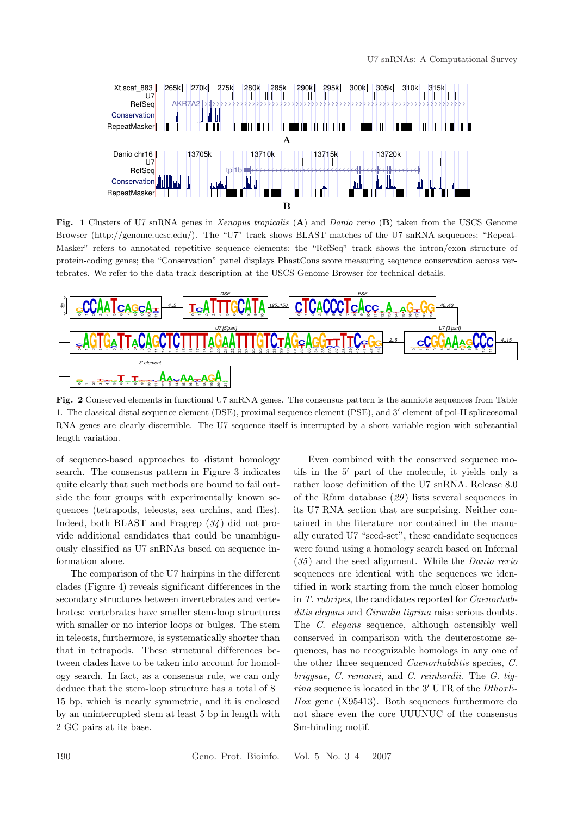

**Fig. 1** Clusters of U7 snRNA genes in *Xenopus tropicalis* (**A**) and *Danio rerio* (**B**) taken from the USCS Genome Browser (http://genome.ucsc.edu/). The "U7" track shows BLAST matches of the U7 snRNA sequences; "Repeat-Masker" refers to annotated repetitive sequence elements; the "RefSeq" track shows the intron/exon structure of protein-coding genes; the "Conservation" panel displays PhastCons score measuring sequence conservation across vertebrates. We refer to the data track description at the USCS Genome Browser for technical details.



**Fig. 2** Conserved elements in functional U7 snRNA genes. The consensus pattern is the amniote sequences from Table 1. The classical distal sequence element (DSE), proximal sequence element (PSE), and 3' element of pol-II spliceosomal RNA genes are clearly discernible. The U7 sequence itself is interrupted by a short variable region with substantial length variation.

of sequence-based approaches to distant homology search. The consensus pattern in Figure 3 indicates quite clearly that such methods are bound to fail outside the four groups with experimentally known sequences (tetrapods, teleosts, sea urchins, and flies). Indeed, both BLAST and Fragrep (*34* ) did not provide additional candidates that could be unambiguously classified as U7 snRNAs based on sequence information alone.

The comparison of the U7 hairpins in the different clades (Figure 4) reveals significant dif ferences in the secondary structures between invertebrates and vertebrates: vertebrates have smaller stem-loop structures with smaller or no interior loops or bulges. The stem in teleosts, furthermore, is systematically shorter than that in tetrapods. These structural differences between clades have to be taken into account for homology search. In fact, as a consensus rule, we can only deduce that the stem-loop structure has a total of 8– 15 bp, which is nearly symmetric, and it is enclosed by an uninterrupted stem at least 5 bp in length with 2 GC pairs at its base.

Even combined with the conserved sequence motifs in the 5' part of the molecule, it yields only a rather loose definition of the U7 snRNA. Release 8.0 of the Rfam database (*29* ) lists several sequences in its U7 RNA section that are surprising. Neither contained in the literature nor contained in the manually curated U7 "seed-set", these candidate sequences were found using a homology search based on Infernal (*35* ) and the seed alignment. While the *Danio rerio* sequences are identical with the sequences we identified in work starting from the much closer homolog in *T. rubripes*, the candidates reported for *Caenorhabditis elegans* and *Girardia tigrina* raise serious doubts. The *C. elegans* sequence, although ostensibly well conserved in comparison with the deuterostome sequences, has no recognizable homologs in any one of the other three sequenced *Caenorhabditis* species, *C. briggsae*, *C. remanei*, and *C. reinhardii*. The *G. tigrina* sequence is located in the 3' UTR of the *DthoxE*-*Hox* gene (X95413). Both sequences furthermore do not share even the core UUUNUC of the consensus Sm-binding motif.

190 Geno. Prot. Bioinfo. Vol. 5 No. 3–4 2007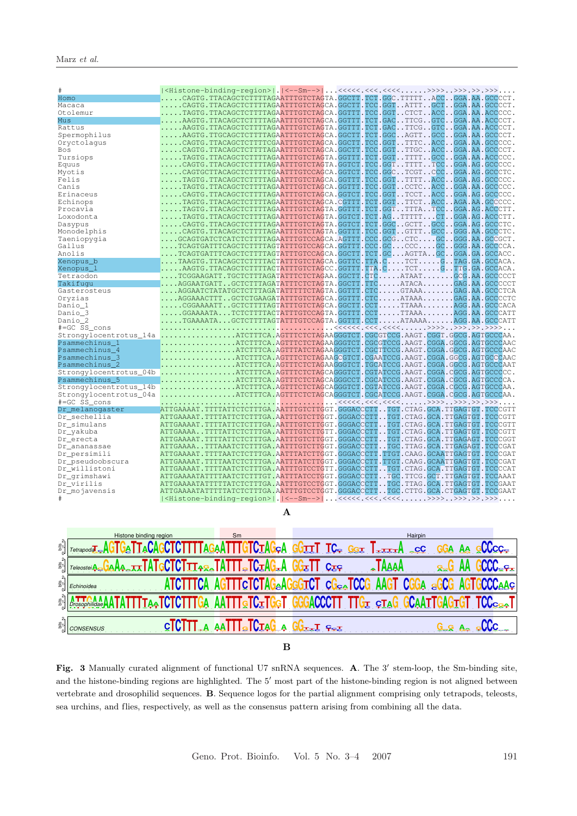| #                      |                                                                                                                                |  |
|------------------------|--------------------------------------------------------------------------------------------------------------------------------|--|
| Homo                   | CAGTG.TTACAGCTCTTTTAGAATTTGTCTAGTA.GGCTT.TCT.GGC.TTTTTACCGGA.AA.GCCCCT.                                                        |  |
| Macaca                 | $\ldots$ . CAGTG.TTACAGCTCTTTTAGAATTTGTCTAGCA.GGCTT.TCC.GGTATTTGCTGGA.AA.GCCCCT.                                               |  |
| Otolemur               | TAGTG.TTACAGCTCTTTTAGAATTTGTCTAGCA.GGTTT.TCC.GGTCTCTACCGGA.AA.ACCCCC.                                                          |  |
| Mus                    | $\ldots$ . AAGTG.TTACAGCTCTTTTAGAATTTGTCTAGCA.GGTTT.TCT.GACTTCGGTCGGA.AA.ACCCCT.                                               |  |
| Rattus                 | AAGTG.TTACAGCTCTTTTAGAATTTGTCTAGTA.GGTTT.TCT.GACTTCGGTCGGA.AA.ACCCCT.                                                          |  |
| Spermophilus           | AAGTG.TTGCAGCTCTTTTAGAATTTGTCTAGCA.GGCTT.TCT.GGCAGTTGCCGGA.AA.GCCCCT.                                                          |  |
| Oryctolagus            | $\ldots$ . CAGTG.TTACAGCTCTTTTCGAATTTGTCTAGCA.GGCTT.TCC.GGTTTTCACCGGA.AA.GCCCCC.                                               |  |
| Bos                    | CAGTG.TTACAGCTCTTTTAGAATTTGTCTAGCA.GGCTT.TCC.GGTTTGCACCGGA.AA.GCCCCT.                                                          |  |
| Tursiops               | $\ldots$ . TAGTG.TTACAGCTCTTTTAGAATTTGTCTAGTA.GGTTT.TCT.GGTTTTTGCCGGA.AA.ACCCCC.                                               |  |
| Equus                  | $\ldots$ . CAGTG.TTACAGCTCTTTTAGAATTTGTCTAGTA.GGTCT.TCC.GGTTTTTTCCGGA.AG.GCCCCC.                                               |  |
| Myotis                 | $\ldots$ . CAGTGCTTACAGCTCTTTTTGAATTTGTCCAGCA.GGTCT.TCC.GGCTCGTCCCGGA.AG.GCCCTC.                                               |  |
| Felis                  | $\ldots$ . TAGTG . TTACAGCTCTTTTAGAATTTGTCTAGCA . GGTTT . TCC . GGT TTTT ACC GGA . AG . GCCCCC .                               |  |
| Canis                  | $\ldots$ . TAGTG . TTACAGCTCTTTTAGAATTTGTCTAGCA . GGTTT . TCC . GGT CCTC ACC GGA . AA . GCCCCC .                               |  |
| Erinaceus              | $\ldots$ . CAGTG.TTACAGCTCTTTTAGAATTTGTCTAGCA.GGTCT.TCC.GGTTCCTACCGGA.AG.GCCCCC.                                               |  |
| Echinops               | $\ldots$ . TAGTG.TTACAGCTCTTTTAGAATTTGTCTAGCA.CGTTT.TCT.GGTTTCTACCAGA.AA.GCCCCC.                                               |  |
| Procavia               | $\ldots$ . TAGTG.TTACAGCTCTTTTAGAATTTGTCTAGTA.GGTTT.TCT.GGTTTTATCCGGA.AG.ACCCTT.                                               |  |
| Loxodonta              |                                                                                                                                |  |
|                        | $\ldots$ TAGTG.TTACAGCTCTTTTAGAATTTGTCTAGTA.GGTCT.TCT.AGTTTTTCTGGA.AG.ACCCTT.                                                  |  |
| Dasypus                | $\ldots$ . CAGTG.TTACAGCTCTTTTAGAATTTGTCTAGTA.GGTCT.TCT.GGCGCTTGCCGGA.AG.GCCCTC.                                               |  |
| Monodelphis            | $\ldots$ . CAGTG.TTACAGCTCTTTTAGAATTTGTCTAGTA.GGTTT.TCC.GGTGTTTGCCGGG.AA.GCCCTC.                                               |  |
| Taeniopygia            | GCAGTGATCTCATCTCTTTTAGAATTTGTCCAGCA.AGTTT.CCC.GCGCTCGCGGG.AA.GCCGCT.                                                           |  |
| Gallus                 | $\ldots$ . TCAGTGATTTCAGCTCTTTTAGTATTTGTCCAGCA.GGTTT.CCC.GCCCCGCGGG.AA.GCCCCA.                                                 |  |
| Anolis                 | TCAGTGATTTCAGCTCTTTTAGTATTTGTCCAGCA.GGCTT.TCT.GCAGTTAGCGGA.GA.GCCACC.                                                          |  |
| Xenopus b              | TAAGTG.TTACAGCTCTTTTACTATTTGTCTAGCA.GGTTC.TTA.CTCTGTAG.GA.GCCACA.                                                              |  |
| Xenopus_1              | $\ldots$ . AAGTG.TTACAGCTCTTTTACTATTTGTCTAGCC.GGTTT.TTA.CTCTGTTG.GA.GCCACA.                                                    |  |
| Tetraodon              | .TCGGAAGATT.TGCTCTTTAGATATTTCTCTAGAA.GGCTT.CTCATAATGCG.AA.GCCCCCT                                                              |  |
| Takifuqu               | $\ldots$ . AGGAATGATT. . GCTCTTTAGATATTTCTCTAGTA . GGCTT.TTC. ATACA. GAG.AA. GCCCCCT                                           |  |
| Gasterosteus           | AGGAATCTATATGCTCTTTAGATATTTTTCTAGTA.GGTTT.CTCGTAAAGAG.AA.GCCCTCA                                                               |  |
| Oryzias                | AGGAAACTTTGCTCTGAAGATATTTGTCTAGCA.GGTTT.CTCATAAAGAG.AA.GCCCCTC                                                                 |  |
| Danio_1                | $\ldots$ . CGGAAAATTGCTCTTTTAGTATTTGTCTAGCA.GGCTT.CCTTTAAAAGG.AA.GCCCACA                                                       |  |
| Danio 3                | $\ldots \ldots$ GGAAAATA $\ldots$ TCTCTTTTACTATTTGTCCAGTA .GGTTT .CCT $\ldots \ldots$ .TTAAA $\ldots \ldots$ .AGG .AA .GCCCATT |  |
| Danio 2                | $\ldots$ TGAAAATAGCTCTTTTAGTATTTGTCCAGTA.GGTTT.CCTATAAAAAGG.AA.GCCCATT                                                         |  |
| #=GC SS_cons           |                                                                                                                                |  |
|                        | .Strongylocentrotus_14a ATCTTTCA.AGTTTCTAGAAGGGTCT.CGCGTCCG.AAGT.CGGT.GGCG.AGTGCCCAA                                           |  |
| Psammechinus 1         | ATCTTTCA.AGTTTCTCTAGAAGGGTCT.CGCGTCCG.AAGT.CGGA.GGCG.AGTGCCCAAC                                                                |  |
| Psammechinus 4         | $\ldots \ldots \ldots \ldots \ldots$ .ATCTTTCA.AGTTTATCTAGAAGGGTCT.CGCTTCCG.AAGT.CGGA.GGCG.AGTGCCCAAC                          |  |
| Psammechinus 3         | $\ldots \ldots \ldots \ldots \ldots$ .ATCTTTCA.AGTTTCTCTAGAAGCGTCT.CGAATCCG.AAGT.CGGA.GGCG.AGTGCCCAAC                          |  |
| Psammechinus_2         | ATCTTTCA.AGTTTCTCTAGAAGGGTCT.TGCATCCG.AAGT.CGGA.GGCG.AGTGCCCAAT                                                                |  |
|                        | Strongylocentrotus_04b ATCTTTCA.AGTTTCTCTAGCAGGGTCT.CGTATCCG.AAGT.CGGA.CGCG.AGTGCCCCC.                                         |  |
| Psammechinus 5         | ATCTTTCA.AGTTTCTCTAGCAGGGCCT.CGCATCCG.AAGT.CGGA.CGCG.AGTGCCCCA.                                                                |  |
| Strongylocentrotus_14b | ATCTTTCA.AGTTTCTCTAGCAGGGTCT.CGTATCCG.AAGT.CGGA.CGCG.AGTGCCCAA.                                                                |  |
| Strongylocentrotus 04a | ATCTTTCA.AGTTTCTCTAGCAGGGTCT.CGCATCCG.AAGT.CGGA.CGCG.AGTGCCCAA.                                                                |  |
| #=GC SS_cons           |                                                                                                                                |  |
| Dr melanogaster        | ATTGAAAAT.TTTTATTCTCTTTGA.AATTTGTCTTGGT.GGGACCCTTTGT.CTAG.GCA.TTGAGTGT.TCCCGTT                                                 |  |
| Dr sechellia           | ATTGAAAAT.TTTTATTCTCTTTGA.AATTTGTCTTGGT.GGGACCCTTTGT.CTAG.GCA.TTGAGTGT.TCCCGTT                                                 |  |
| Dr simulans            | ATTGAAAAT.TTTTATTCTCTTTGA.AATTTGTCTTGGT.GGGACCCTTTGT.CTAG.GCA.TTGAGTGT.TCCCGTT                                                 |  |
| Dr_yakuba              | ATTGAAAATTTTATTCTCTTTGA.AATTTGTCTTGTT.GGGACCCTTTGT.CTAG.GCA.TTGAGTGT.TCCCGTT                                                   |  |
| Dr_erecta              | ATTGAAAAT.TTTTATTCTCTTTGA.AATTTGTCTTGGT.GGGACCCTTTGT.CTAG.GCA.TTGAGAGT.TCCCGGT                                                 |  |
| Dr ananassae           | ATTGAAAATTTAAATCTCTTTGA.AATTTGTCTTGGT.GGGACCCTTTGC.TTAG.GCA.TTGAGAGT.TCCCGAT                                                   |  |
| Dr persimili           | ATTGAAAAT.TTTTAATCTCTTTGA.AATTTATCTTGGT.GGGACCCTT.TTGT.CAAG.GCAATTGAGTGT.TCCCGAT                                               |  |
| Dr_pseudoobscura       | ATTGAAAAT.TTTTAATCTCTTTGA.AATTTATCTTGGT.GGGACCCTT.TTGT.CAAG.GCAATTGAGTGT.TCCCGAT                                               |  |
| Dr_willistoni          | ATTGAAAAT.TTTTAATCTCTTTGA.AATTTGTCCTGTT.GGGACCCTTTGT.CTAG.GCA.TTGAGTGT.TCCCCAT                                                 |  |
| Dr_qrimshawi           | ATTGAAAATATTTTAATCTCTTTGT.AATTTATCCTGGT.GGGACCCTTTGC.TTCG.GCT.TTGAGTGT.TCCAAAT                                                 |  |
| Dr virilis             | ATTGAAAATATTTTTATCTCTTTGA.AATTTGTCCTGGT.GGGACCCTTTGC.TTAG.GCA.TTGAGTGT.TCCGAAT                                                 |  |
| Dr_mojavensis          | ATTGAAAATATTTTTATCTCTTTGA.AATTTGTCCTGGT.GGGACCCTTTGC.CTTG.GCA.CTGAGTGT.TCCGAAT                                                 |  |
|                        |                                                                                                                                |  |



**A**

Fig. 3 Manually curated alignment of functional U7 snRNA sequences. **A**. The 3' stem-loop, the Sm-binding site, and the histone-binding regions are highlighted. The 5' most part of the histone-binding region is not aligned between vertebrate and drosophilid sequences. **B**. Sequence logos for the partial alignment comprising only tetrapods, teleosts, sea urchins, and flies, respectively, as well as the consensus pattern arising from combining all the data.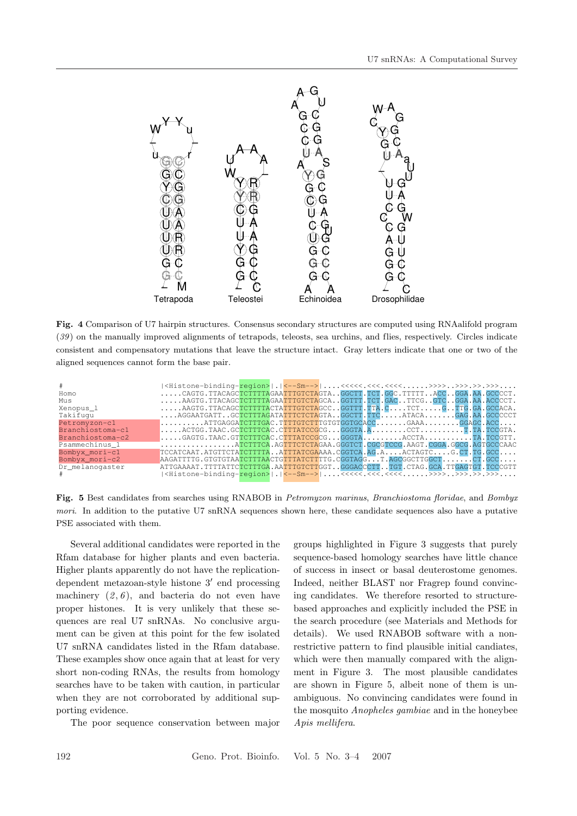

**Fig. 4** Comparison of U7 hairpin structures. Consensus secondary structures are computed using RNAalifold program (*39* ) on the manually improved alignments of tetrapods, teleosts, sea urchins, and flies, respectively. Circles indicate consistent and compensatory mutations that leave the structure intact. Gray letters indicate that one or two of the aligned sequences cannot form the base pair.

| #                |                                                                               |  |  |  |  |  |  |
|------------------|-------------------------------------------------------------------------------|--|--|--|--|--|--|
| Homo             | CAGTG.TTACAGCTCTTTTAGAATTTGTCTAGTAGGCTT.TCT.GGC.TTTTTACCGGA.AA.GCCCCT.        |  |  |  |  |  |  |
| Mus              | AAGTG.TTACAGCTCTTTTAGAATTTGTCTAGCAGGTTT.TCT.GACTTCGGTCGGA.AA.ACCCCT.          |  |  |  |  |  |  |
| Xenopus 1        | AAGTG.TTACAGCTCTTTTACTATTTGTCTAGCCGGTTT.TTA.CTCTGTTG.GA.GCCACA.               |  |  |  |  |  |  |
| Takifuqu         | AGGAATGATTGCTCTTTAGATATTTCTCTAGTAGGCTT.TTCATACAGAG.AA.GCCCCCT                 |  |  |  |  |  |  |
| Petromyzon-c1    | $\dots\dots\dots$ . ATTGAGGATCTTTGAC.TTTTGTCTTTGTGTGGTGCACCGAAAGGAGC.ACC      |  |  |  |  |  |  |
| Branchiostoma-c1 | $\dots$ . ACTGG. TAAC. GCTCTTTCAC. CTTTATCCGCG GGGTA. ACCTT.TA.TCCGTA.        |  |  |  |  |  |  |
| Branchiostoma-c2 | $\dots$ .GAGTG.TAAC.GTTCTTTCAC.CTTTATCCGCGGGGTAACCTATA.TCCGTT.                |  |  |  |  |  |  |
| Psammechinus 1   | ATCTTTCA.AGTTTCTCTAGAA.GGGTCT.CGCGTCCG.AAGT.CGGA.GGCG.AGTGCCCAAC              |  |  |  |  |  |  |
| Bombyx_mori-c1   | TCCATCAAT.ATGTTCTATCTTTTAATTTATCGAAAA.CGGTCA.AG.AACTAGTCG.CT.TG.GCC           |  |  |  |  |  |  |
| Bombyx mori-c2   | AAGATTTTG.GTGTGTAATCTTTAACTGTTTATCTTTTG.CGGTAGGT.AGCGGCTTGGCTCT.GCC           |  |  |  |  |  |  |
| Dr melanogaster  | ATTGAAAAT.TTTTATTCTCTTTGA.AATTTGTCTTGGTGGGACCCTTTGT.CTAG.GCA.TTGAGTGT.TCCCGTT |  |  |  |  |  |  |
|                  |                                                                               |  |  |  |  |  |  |

**Fig. 5** Best candidates from searches using RNABOB in *Petromyzon marinus*, *Branchiostoma floridae*, and *Bombyx mori*. In addition to the putative U7 snRNA sequences shown here, these candidate sequences also have a putative PSE associated with them.

Several additional candidates were reported in the Rfam database for higher plants and even bacteria. Higher plants apparently do not have the replicationdependent metazoan-style histone  $3'$  end processing machinery  $(2, 6)$ , and bacteria do not even have proper histones. It is very unlikely that these sequences are real U7 snRNAs. No conclusive argument can be given at this point for the few isolated U7 snRNA candidates listed in the Rfam database. These examples show once again that at least for very short non-coding RNAs, the results from homology searches have to be taken with caution, in particular when they are not corroborated by additional supporting evidence.

The poor sequence conservation between major

groups highlighted in Figure 3 suggests that purely sequence-based homology searches have little chance of success in insect or basal deuterostome genomes. Indeed, neither BLAST nor Fragrep found convincing candidates. We therefore resorted to structurebased approaches and explicitly included the PSE in the search procedure (see Materials and Methods for details). We used RNABOB software with a nonrestrictive pattern to find plausible initial candiates, which were then manually compared with the alignment in Figure 3. The most plausible candidates are shown in Figure 5, albeit none of them is unambiguous. No convincing candidates were found in the mosquito *Anopheles gambiae* and in the honeybee *Apis mellifera*.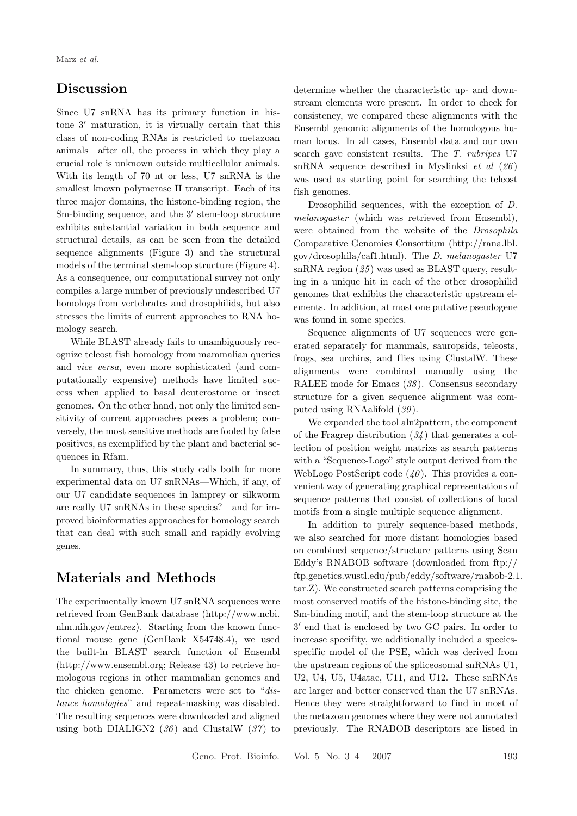# **Discussion**

Since U7 snRNA has its primary function in histone  $3'$  maturation, it is virtually certain that this class of non-coding RNAs is restricted to metazoan animals—after all, the process in which they play a crucial role is unknown outside multicellular animals. With its length of 70 nt or less, U7 snRNA is the smallest known polymerase II transcript. Each of its three major domains, the histone-binding region, the Sm-binding sequence, and the  $3'$  stem-loop structure exhibits substantial variation in both sequence and structural details, as can be seen from the detailed sequence alignments (Figure 3) and the structural models of the terminal stem-loop structure (Figure 4). As a consequence, our computational survey not only compiles a large number of previously undescribed U7 homologs from vertebrates and drosophilids, but also stresses the limits of current approaches to RNA homology search.

While BLAST already fails to unambiguously recognize teleost fish homology from mammalian queries and *vice versa*, even more sophisticated (and computationally expensive) methods have limited success when applied to basal deuterostome or insect genomes. On the other hand, not only the limited sensitivity of current approaches poses a problem; conversely, the most sensitive methods are fooled by false positives, as exemplified by the plant and bacterial sequences in Rfam.

In summary, thus, this study calls both for more experimental data on U7 snRNAs—Which, if any, of our U7 candidate sequences in lamprey or silkworm are really U7 snRNAs in these species?—and for improved bioinformatics approaches for homology search that can deal with such small and rapidly evolving genes.

# **Materials and Methods**

The experimentally known U7 snRNA sequences were retrieved from GenBank database (http://www.ncbi. nlm.nih.gov/entrez). Starting from the known functional mouse gene (GenBank X54748.4), we used the built-in BLAST search function of Ensembl (http://www.ensembl.org; Release 43) to retrieve homologous regions in other mammalian genomes and the chicken genome. Parameters were set to "*distance homologies*" and repeat-masking was disabled. The resulting sequences were downloaded and aligned using both DIALIGN2 (*36* ) and ClustalW (*37* ) to determine whether the characteristic up- and downstream elements were present. In order to check for consistency, we compared these alignments with the Ensembl genomic alignments of the homologous human locus. In all cases, Ensembl data and our own search gave consistent results. The *T. rubripes* U7 snRNA sequence described in Myslinksi *et al* (*26* ) was used as starting point for searching the teleost fish genomes.

Drosophilid sequences, with the exception of *D. melanogaster* (which was retrieved from Ensembl), were obtained from the website of the *Drosophila* Comparative Genomics Consortium (http://rana.lbl. gov/drosophila/caf1.html). The *D. melanogaster* U7 snRNA region (*25* ) was used as BLAST query, resulting in a unique hit in each of the other drosophilid genomes that exhibits the characteristic upstream elements. In addition, at most one putative pseudogene was found in some species.

Sequence alignments of U7 sequences were generated separately for mammals, sauropsids, teleosts, frogs, sea urchins, and flies using ClustalW. These alignments were combined manually using the RALEE mode for Emacs (*38* ). Consensus secondary structure for a given sequence alignment was computed using RNAalifold (*39* ).

We expanded the tool aln2pattern, the component of the Fragrep distribution (*34* ) that generates a collection of position weight matrixs as search patterns with a "Sequence-Logo" style output derived from the WebLogo PostScript code  $(40)$ . This provides a convenient way of generating graphical representations of sequence patterns that consist of collections of local motifs from a single multiple sequence alignment.

In addition to purely sequence-based methods, we also searched for more distant homologies based on combined sequence/structure patterns using Sean Eddy's RNABOB software (downloaded from ftp:// ftp.genetics.wustl.edu/pub/eddy/software/rnabob-2.1. tar.Z). We constructed search patterns comprising the most conserved motifs of the histone-binding site, the Sm-binding motif, and the stem-loop structure at the 3 end that is enclosed by two GC pairs. In order to increase specifity, we additionally included a speciesspecific model of the PSE, which was derived from the upstream regions of the spliceosomal snRNAs U1, U2, U4, U5, U4atac, U11, and U12. These snRNAs are larger and better conserved than the U7 snRNAs. Hence they were straightforward to find in most of the metazoan genomes where they were not annotated previously. The RNABOB descriptors are listed in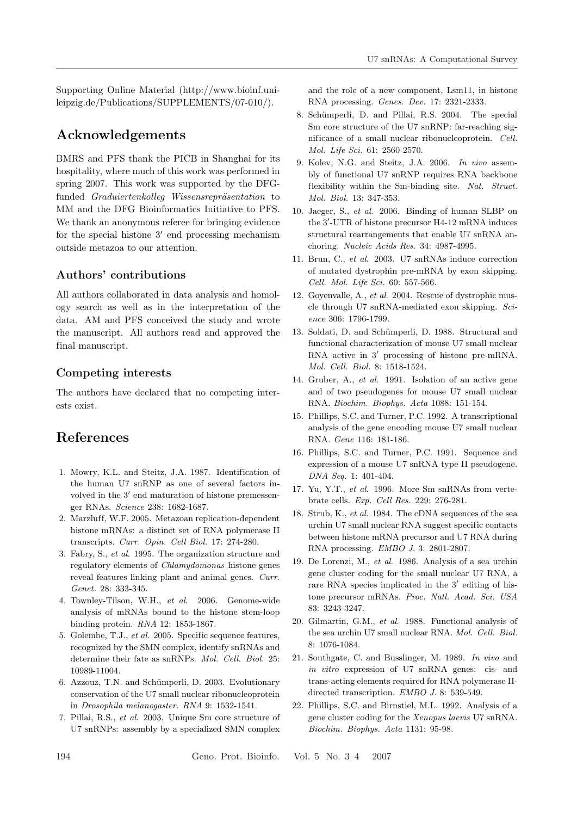Supporting Online Material (http://www.bioinf.unileipzig.de/Publications/SUPPLEMENTS/07-010/).

# **Acknowledgements**

BMRS and PFS thank the PICB in Shanghai for its hospitality, where much of this work was performed in spring 2007. This work was supported by the DFGfunded *Graduiertenkolleg Wissensrepräsentation* to MM and the DFG Bioinformatics Initiative to PFS. We thank an anonymous referee for bringing evidence for the special histone  $3'$  end processing mechanism outside metazoa to our attention.

## **Authors' contributions**

All authors collaborated in data analysis and homology search as well as in the interpretation of the data. AM and PFS conceived the study and wrote the manuscript. All authors read and approved the final manuscript.

### **Competing interests**

The authors have declared that no competing interests exist.

# **References**

- 1. Mowry, K.L. and Steitz, J.A. 1987. Identification of the human U7 snRNP as one of several factors involved in the  $3'$  end maturation of histone premessenger RNAs. *Science* 238: 1682-1687.
- 2. Marzluff, W.F. 2005. Metazoan replication-dependent histone mRNAs: a distinct set of RNA polymerase II transcripts. *Curr. Opin. Cell Biol.* 17: 274-280.
- 3. Fabry, S., *et al*. 1995. The organization structure and regulatory elements of *Chlamydomonas* histone genes reveal features linking plant and animal genes. *Curr. Genet.* 28: 333-345.
- 4. Townley-Tilson, W.H., *et al*. 2006. Genome-wide analysis of mRNAs bound to the histone stem-loop binding protein. *RNA* 12: 1853-1867.
- 5. Golembe, T.J., *et al*. 2005. Specific sequence features, recognized by the SMN complex, identify snRNAs and determine their fate as snRNPs. *Mol. Cell. Biol.* 25: 10989-11004.
- 6. Azzouz, T.N. and Schümperli, D. 2003. Evolutionary conservation of the U7 small nuclear ribonucleoprotein in *Drosophila melanogaster*. *RNA* 9: 1532-1541.
- 7. Pillai, R.S., *et al*. 2003. Unique Sm core structure of U7 snRNPs: assembly by a specialized SMN complex

and the role of a new component, Lsm11, in histone RNA processing. *Genes. Dev.* 17: 2321-2333.

- 8. Schümperli, D. and Pillai, R.S. 2004. The special Sm core structure of the U7 snRNP: far-reaching significance of a small nuclear ribonucleoprotein. *Cell. Mol. Life Sci.* 61: 2560-2570.
- 9. Kolev, N.G. and Steitz, J.A. 2006. *In vivo* assembly of functional U7 snRNP requires RNA backbone flexibility within the Sm-binding site. *Nat. Struct. Mol. Biol.* 13: 347-353.
- 10. Jaeger, S., *et al*. 2006. Binding of human SLBP on the 3 -UTR of histone precursor H4-12 mRNA induces structural rearrangements that enable U7 snRNA anchoring. *Nucleic Acids Res.* 34: 4987-4995.
- 11. Brun, C., *et al*. 2003. U7 snRNAs induce correction of mutated dystrophin pre-mRNA by exon skipping. *Cell. Mol. Life Sci.* 60: 557-566.
- 12. Goyenvalle, A., *et al*. 2004. Rescue of dystrophic muscle through U7 snRNA-mediated exon skipping. *Science* 306: 1796-1799.
- 13. Soldati, D. and Schümperli, D. 1988. Structural and functional characterization of mouse U7 small nuclear RNA active in  $3'$  processing of histone pre-mRNA. *Mol. Cell. Biol.* 8: 1518-1524.
- 14. Gruber, A., *et al*. 1991. Isolation of an active gene and of two pseudogenes for mouse U7 small nuclear RNA. *Biochim. Biophys. Acta* 1088: 151-154.
- 15. Phillips, S.C. and Turner, P.C. 1992. A transcriptional analysis of the gene encoding mouse U7 small nuclear RNA. *Gene* 116: 181-186.
- 16. Phillips, S.C. and Turner, P.C. 1991. Sequence and expression of a mouse U7 snRNA type II pseudogene. *DNA Seq.* 1: 401-404.
- 17. Yu, Y.T., *et al*. 1996. More Sm snRNAs from vertebrate cells. *Exp. Cell Res.* 229: 276-281.
- 18. Strub, K., *et al*. 1984. The cDNA sequences of the sea urchin U7 small nuclear RNA suggest specific contacts between histone mRNA precursor and U7 RNA during RNA processing. *EMBO J.* 3: 2801-2807.
- 19. De Lorenzi, M., *et al*. 1986. Analysis of a sea urchin gene cluster coding for the small nuclear U7 RNA, a rare RNA species implicated in the  $3'$  editing of histone precursor mRNAs. *Proc. Natl. Acad. Sci. USA* 83: 3243-3247.
- 20. Gilmartin, G.M., *et al*. 1988. Functional analysis of the sea urchin U7 small nuclear RNA. *Mol. Cell. Biol.* 8: 1076-1084.
- 21. Southgate, C. and Busslinger, M. 1989. *In vivo* and *in vitro* expression of U7 snRNA genes: cis- and trans-acting elements required for RNA polymerase IIdirected transcription. *EMBO J.* 8: 539-549.
- 22. Phillips, S.C. and Birnstiel, M.L. 1992. Analysis of a gene cluster coding for the *Xenopus laevis* U7 snRNA. *Biochim. Biophys. Acta* 1131: 95-98.